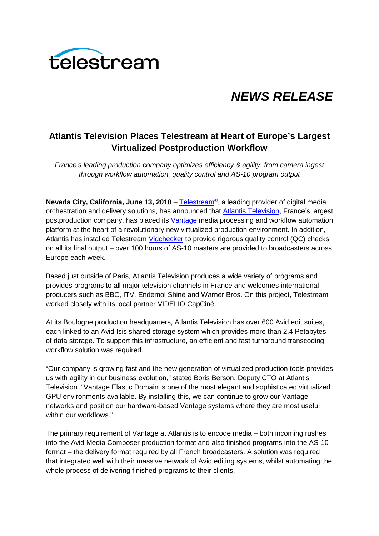

# *NEWS RELEASE*

# **Atlantis Television Places Telestream at Heart of Europe's Largest Virtualized Postproduction Workflow**

*France's leading production company optimizes efficiency & agility, from camera ingest through workflow automation, quality control and AS-10 program output*

**Nevada City, California, June 13, 2018** – [Telestream®](http://www.telestream.net/telestream-home.htm), a leading provider of digital media orchestration and delivery solutions, has announced that **Atlantis Television**, France's largest postproduction company, has placed its [Vantage](http://www.telestream.net/vantage/overview.htm) media processing and workflow automation platform at the heart of a revolutionary new virtualized production environment. In addition, Atlantis has installed Telestream [Vidchecker](http://www.telestream.net/vidchecker/overview.htm) to provide rigorous quality control (QC) checks on all its final output – over 100 hours of AS-10 masters are provided to broadcasters across Europe each week.

Based just outside of Paris, Atlantis Television produces a wide variety of programs and provides programs to all major television channels in France and welcomes international producers such as BBC, ITV, Endemol Shine and Warner Bros. On this project, Telestream worked closely with its local partner VIDELIO CapCiné.

At its Boulogne production headquarters, Atlantis Television has over 600 Avid edit suites, each linked to an Avid Isis shared storage system which provides more than 2.4 Petabytes of data storage. To support this infrastructure, an efficient and fast turnaround transcoding workflow solution was required.

"Our company is growing fast and the new generation of virtualized production tools provides us with agility in our business evolution," stated Boris Berson, Deputy CTO at Atlantis Television. "Vantage Elastic Domain is one of the most elegant and sophisticated virtualized GPU environments available. By installing this, we can continue to grow our Vantage networks and position our hardware-based Vantage systems where they are most useful within our workflows."

The primary requirement of Vantage at Atlantis is to encode media – both incoming rushes into the Avid Media Composer production format and also finished programs into the AS-10 format – the delivery format required by all French broadcasters. A solution was required that integrated well with their massive network of Avid editing systems, whilst automating the whole process of delivering finished programs to their clients.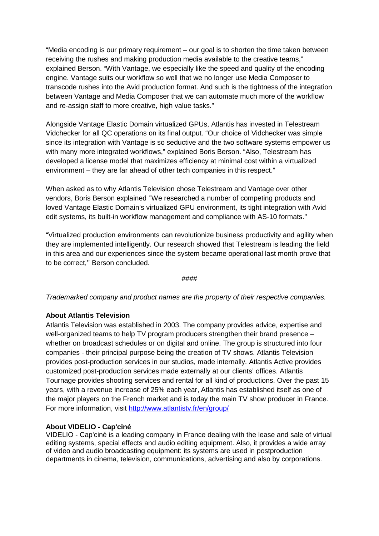"Media encoding is our primary requirement – our goal is to shorten the time taken between receiving the rushes and making production media available to the creative teams," explained Berson. "With Vantage, we especially like the speed and quality of the encoding engine. Vantage suits our workflow so well that we no longer use Media Composer to transcode rushes into the Avid production format. And such is the tightness of the integration between Vantage and Media Composer that we can automate much more of the workflow and re-assign staff to more creative, high value tasks."

Alongside Vantage Elastic Domain virtualized GPUs, Atlantis has invested in Telestream Vidchecker for all QC operations on its final output. "Our choice of Vidchecker was simple since its integration with Vantage is so seductive and the two software systems empower us with many more integrated workflows," explained Boris Berson. "Also, Telestream has developed a license model that maximizes efficiency at minimal cost within a virtualized environment – they are far ahead of other tech companies in this respect."

When asked as to why Atlantis Television chose Telestream and Vantage over other vendors, Boris Berson explained ''We researched a number of competing products and loved Vantage Elastic Domain's virtualized GPU environment, its tight integration with Avid edit systems, its built-in workflow management and compliance with AS-10 formats.''

"Virtualized production environments can revolutionize business productivity and agility when they are implemented intelligently. Our research showed that Telestream is leading the field in this area and our experiences since the system became operational last month prove that to be correct,'' Berson concluded.

#### ####

*Trademarked company and product names are the property of their respective companies.*

## **About Atlantis Television**

Atlantis Television was established in 2003. The company provides advice, expertise and well-organized teams to help TV program producers strengthen their brand presence – whether on broadcast schedules or on digital and online. The group is structured into four companies - their principal purpose being the creation of TV shows. Atlantis Television provides post-production services in our studios, made internally. Atlantis Active provides customized post-production services made externally at our clients' offices. Atlantis Tournage provides shooting services and rental for all kind of productions. Over the past 15 years, with a revenue increase of 25% each year, Atlantis has established itself as one of the major players on the French market and is today the main TV show producer in France. For more information, visit<http://www.atlantistv.fr/en/group/>

#### **About VIDELIO - Cap'ciné**

VIDELIO - Cap'ciné is a leading company in France dealing with the lease and sale of virtual editing systems, special effects and audio editing equipment. Also, it provides a wide array of video and audio broadcasting equipment: its systems are used in postproduction departments in cinema, television, communications, advertising and also by corporations.